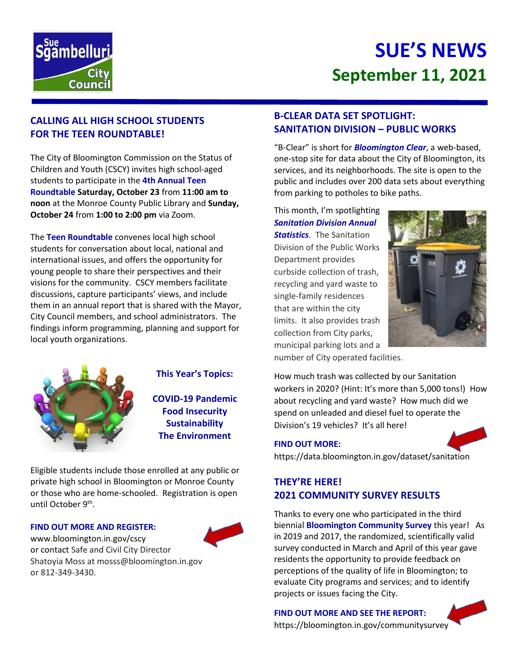

# **SUE'S NEWS September 11, 2021**

# **CALLING ALL HIGH SCHOOL STUDENTS FOR THE TEEN ROUNDTABLE!**

The City of Bloomington Commission on the Status of Children and Youth (CSCY) invites high school-aged students to participate in the **4th Annual Teen Roundtable Saturday, October 23** from **11:00 am to noon** at the Monroe County Public Library and **Sunday, October 24** from **1:00 to 2:00 pm** via Zoom.

The **Teen Roundtable** convenes local high school students for conversation about local, national and international issues, and offers the opportunity for young people to share their perspectives and their visions for the community. CSCY members facilitate discussions, capture participants' views, and include them in an annual report that is shared with the Mayor, City Council members, and school administrators. The findings inform programming, planning and support for local youth organizations.



### **This Year's Topics:**

**COVID-19 Pandemic Food Insecurity Sustainability The Environment**

Eligible students include those enrolled at any public or private high school in Bloomington or Monroe County or those who are home-schooled. Registration is open until October 9<sup>th</sup>.

#### **FIND OUT MORE AND REGISTER:**

www.bloomington.in.gov/cscy or contact Safe and Civil City Director Shatoyia Moss at mosss@bloomington.in.gov or 812-349-3430.



#### **B-CLEAR DATA SET SPOTLIGHT: SANITATION DIVISION – PUBLIC WORKS**

"B-Clear" is short for *Bloomington Clear*, a web-based, one-stop site for data about the City of Bloomington, its services, and its neighborhoods. The site is open to the public and includes over 200 data sets about everything from parking to potholes to bike paths.

This month, I'm spotlighting *Sanitation Division Annual Statistics*. The Sanitation Division of the Public Works Department provides curbside collection of trash, recycling and yard waste to single-family residences that are within the city limits. It also provides trash collection from City parks, municipal parking lots and a number of City operated facilities.



How much trash was collected by our Sanitation workers in 2020? (Hint: It's more than 5,000 tons!) How about recycling and yard waste? How much did we spend on unleaded and diesel fuel to operate the Division's 19 vehicles? It's all here!

#### **FIND OUT MORE:**



https://data.bloomington.in.gov/dataset/sanitation

### **THEY'RE HERE! 2021 COMMUNITY SURVEY RESULTS**

Thanks to every one who participated in the third biennial **Bloomington Community Survey** this year! As in 2019 and 2017, the randomized, scientifically valid survey conducted in March and April of this year gave residents the opportunity to provide feedback on perceptions of the quality of life in Bloomington; to evaluate City programs and services; and to identify projects or issues facing the City.

**FIND OUT MORE AND SEE THE REPORT:**